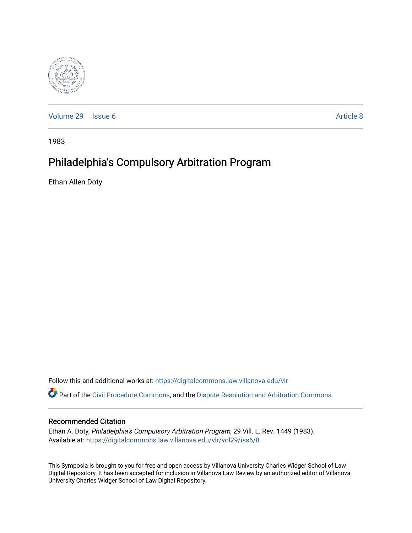

[Volume 29](https://digitalcommons.law.villanova.edu/vlr/vol29) | [Issue 6](https://digitalcommons.law.villanova.edu/vlr/vol29/iss6) Article 8

1983

# Philadelphia's Compulsory Arbitration Program

Ethan Allen Doty

Follow this and additional works at: [https://digitalcommons.law.villanova.edu/vlr](https://digitalcommons.law.villanova.edu/vlr?utm_source=digitalcommons.law.villanova.edu%2Fvlr%2Fvol29%2Fiss6%2F8&utm_medium=PDF&utm_campaign=PDFCoverPages)

Part of the [Civil Procedure Commons,](http://network.bepress.com/hgg/discipline/584?utm_source=digitalcommons.law.villanova.edu%2Fvlr%2Fvol29%2Fiss6%2F8&utm_medium=PDF&utm_campaign=PDFCoverPages) and the [Dispute Resolution and Arbitration Commons](http://network.bepress.com/hgg/discipline/890?utm_source=digitalcommons.law.villanova.edu%2Fvlr%2Fvol29%2Fiss6%2F8&utm_medium=PDF&utm_campaign=PDFCoverPages) 

## Recommended Citation

Ethan A. Doty, Philadelphia's Compulsory Arbitration Program, 29 Vill. L. Rev. 1449 (1983). Available at: [https://digitalcommons.law.villanova.edu/vlr/vol29/iss6/8](https://digitalcommons.law.villanova.edu/vlr/vol29/iss6/8?utm_source=digitalcommons.law.villanova.edu%2Fvlr%2Fvol29%2Fiss6%2F8&utm_medium=PDF&utm_campaign=PDFCoverPages) 

This Symposia is brought to you for free and open access by Villanova University Charles Widger School of Law Digital Repository. It has been accepted for inclusion in Villanova Law Review by an authorized editor of Villanova University Charles Widger School of Law Digital Repository.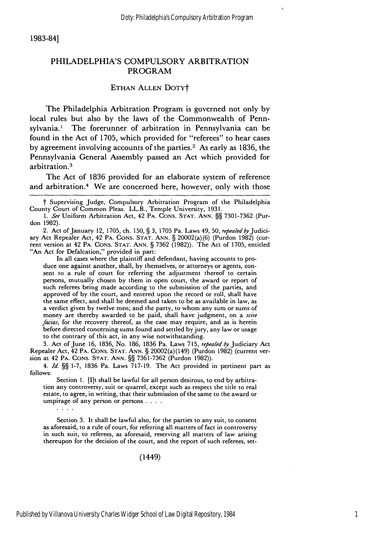1983-84]

#### PHILADELPHIA'S COMPULSORY ARBITRATION PROGRAM

#### ETHAN ALLEN DOTYt

The Philadelphia Arbitration Program is governed not only by local rules but also by the laws of the Commonwealth of Pennsylvania.' The forerunner of arbitration in Pennsylvania can be found in the Act of 1705, which provided for "referees" to hear cases by agreement involving accounts of the parties.<sup>2</sup> As early as 1836, the Pennsylvania General Assembly passed an Act which provided for arbitration.<sup>3</sup>

The Act of 1836 provided for an elaborate system of reference and arbitration.<sup>4</sup> We are concerned here, however, only with those

t Supervising Judge, Compulsory Arbitration Program of the Philadelphia County Court of Common Pleas. LL.B., Temple University, 1931.

*1. See* Uniform Arbitration Act, 42 PA. **CONS. STAT.** ANN. §§ 7301-7362 (Purdon 1982).

2. Act of January 12, 1705, ch. 150, § 3, 1705 Pa. Laws 49, 50, repealed *byJudici*ary Act Repealer Act, 42 PA. **CONS. STAT. ANN.** § 20002(a)(6) (Purdon 1982) (current version at 42 **PA, CONS. STAT. ANN.** § 7362 (1982)). The Act of 1705, entitled "An Act for Defalcation," provided in part:

In all cases where the plaintiff and defendant, having accounts to produce one against another, shall, by themselves, or attorneys or agents, consent to a rule of court for referring the adjustment thereof to certain persons, mutually chosen by them in open court, the award or report of such referees being made according to the submission of the parties, and approved of by the court, and entered upon the record or roll, shall have the same effect, and shall be deemed and taken to be as available in law, as a verdict given by twelve men; and the party, to whom any sum or sums of money are thereby awarded to be paid, shall have judgment, on a scire facias, for the recovery thereof, as the case may require, and as is herein before directed concerning sums found and settled by jury, any law or usage to the contrary of this act, in any wise notwithstanding.

3. Act of June 16, 1836, No. 186, 1836 Pa. Laws 715, repealed by Judiciary Act Repealer Act, 42 PA. **CONS. STAT. ANN.** § 20002(a)(149) (Purdon 1982) (current version at 42 PA. **CONS. STAT. ANN.** §§ 7361-7362 (Purdon 1982)).

*4. Id. §§* 1-7, 1836 Pa. Laws 717-19. The Act provided in pertinent part as follows:

Section 1. [I]t shall be lawful for all person desirous, to end by arbitration any controversy, suit or quarrel, except such as respect the title to real estate, to agree, in writing, that their submission of the same to the award or umpirage of any person or persons. . **..**

Section 3. It shall be lawful also, for the parties to any suit, to consent as aforesaid, to a rule of court, for referring all matters of fact in controversy in such suit, to referees, as aforesaid, reserving all matters of law arising thereupon for the decision of the court, and the report of such referees, set-

(1449)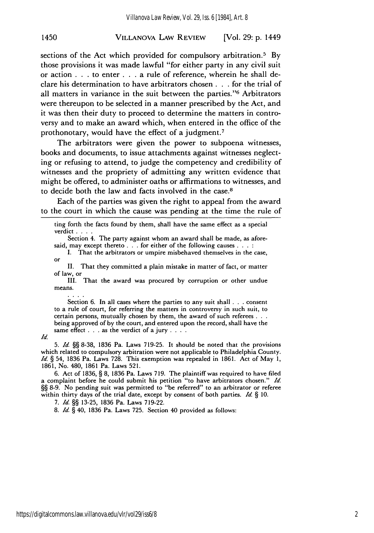#### VILLANOVA LAW REVIEW [Vol. 29: p. 1449 1450

sections of the Act which provided for compulsory arbitration.<sup>5</sup> By those provisions it was made lawful "for either party in any civil suit or action . . .to enter **. . .** a rule of reference, wherein he shall declare his determination to have arbitrators chosen **. . .** for the trial of all matters in variance in the suit between the parties."'6 Arbitrators were thereupon to be selected in a manner prescribed by the Act, and it was then their duty to proceed to determine the matters in controversy and to make an award which, when entered in the office of the prothonotary, would have the effect of a judgment. <sup>7</sup>

The arbitrators were given the power to subpoena witnesses, books and documents, to issue attachments against witnesses neglecting or refusing to attend, to judge the competency and credibility of witnesses and the propriety of admitting any written evidence that might be offered, to administer oaths or affirmations to witnesses, and to decide both the law and facts involved in the case.8

Each of the parties was given the right to appeal from the award to the court in which the cause was pending at the time the rule of

Section 4. The party against whom an award shall be made, as aforesaid, may except thereto . . . for either of the following causes . . . :

I. That the arbitrators or umpire misbehaved themselves in the case, or II. That they committed a plain mistake in matter of fact, or matter

of law, or

III. That the award was procured by corruption or other undue means.

Section 6. In all cases where the parties to any suit shall . . . consent to a rule of court, for referring the matters in controversy in such suit, to certain persons, mutually chosen by them, the award of such referees . **. .** being approved of by the court, and entered upon the record, shall have the same effect . . . as the verdict of a jury . . . .

#### **Id.**

5. **Id.** §§ 8-38, 1836 Pa. Laws 719-25. It should be noted that the provisions which related to compulsory arbitration were not applicable to Philadelphia County. **Id.** § 54, 1836 Pa. Laws 728. This exemption was repealed in 1861. Act of May **1,** 1861, No. 480, 1861 Pa. Laws 521.

6. Act of 1836, § 8, 1836 Pa. Laws 719. The plaintiff was required to have filed a complaint before he could submit his petition "to have arbitrators chosen." **Id.** §§ 8-9. No pending suit was permitted to "be referred" to an arbitrator or referee within thirty days of the trial date, except by consent of both parties. **Id.** § **10.**

7. *Id.* §§ 13-25, 1836 Pa. Laws 719-22.

8. Id. § 40, 1836 Pa. Laws 725. Section 40 provided as follows:

ting forth the facts found by them, shall have the same effect as a special verdict **....**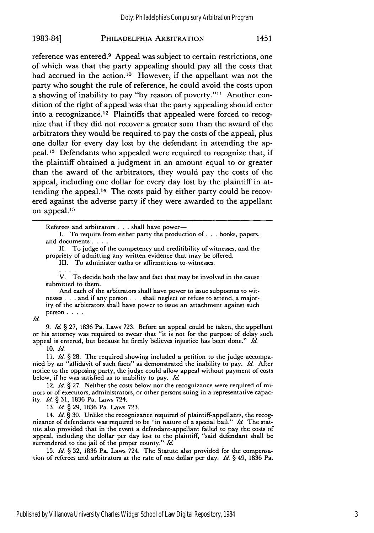reference was entered.<sup>9</sup> Appeal was subject to certain restrictions, one of which was that the party appealing should pay all the costs that had accrued in the action.<sup>10</sup> However, if the appellant was not the party who sought the rule of reference, he could avoid the costs upon a showing of inability to pay ''by reason of poverty.''<sup>11</sup> Another condition of the right of appeal was that the party appealing should enter into a recognizance. 12 Plaintiffs that appealed were forced to recognize that if they did not recover a greater sum than the award of the arbitrators they would be required to pay the costs of the appeal, plus one dollar for every day lost by the defendant in attending the appeal.<sup>13</sup> Defendants who appealed were required to recognize that, if the plaintiff obtained a judgment in an amount equal to or greater than the award of the arbitrators, they would pay the costs of the appeal, including one dollar for every day lost by the plaintiff in attending the appeal.14 The costs paid by either party could be recovered against the adverse party if they were awarded to the appellant on appeal. <sup>15</sup>

Referees and arbitrators **...** shall have power-

I. To require from either party the production of **...** books, papers, and documents **....**

II. To judge of the competency and creditibility of witnesses, and the propriety of admitting any written evidence that may be offered.

III. To administer oaths or affirmations to witnesses.

V. To decide both the law and fact that may be involved in the cause submitted to them.

And each of the arbitrators shall have power to issue subpoenas to witnesses **. . .** and if any person **. . .** shall neglect or refuse to attend, a majority of the arbitrators shall have power to issue an attachment against such person **....**

*Id.*

9. *Id.* § 27, 1836 Pa. Laws 723. Before an appeal could be taken, the appellant or his attorney was required to swear that "it is not for the purpose of delay such appeal is entered, but because he firmly believes injustice has been done." *Id.*

**10.** *Id.*

11. Id. § 28. The required showing included a petition to the judge accompanied by an "affidavit of such facts" as demonstrated the inability to pay. *Id.* After notice to the opposing party, the judge could allow appeal without payment of costs below, if he was satisfied as to inability to pay. **Id.**

12. Id.  $\zeta$  27. Neither the costs below nor the recognizance were required of minors or of executors, administrators, or other persons suing in a representative capacity. *Id.* § 31, 1836 Pa. Laws 724.

13. **Id.** § 29, 1836 Pa. Laws 723.

14. **Id.** *§* 30. Unlike the recognizance required of plaintiff-appellants, the recognizance of defendants was required to be "in nature of a special bail." *Id.* The statute also provided that in the event a defendant-appellant failed to pay the costs of appeal, including the dollar per day lost to the plaintiff, "said defendant shall be surrendered to the jail of the proper county." Id.

15. Id. *§* 32, 1836 Pa. Laws 724. The Statute also provided for the compensation of referees and arbitrators at the rate of one dollar per day. Id. § 49, 1836 Pa.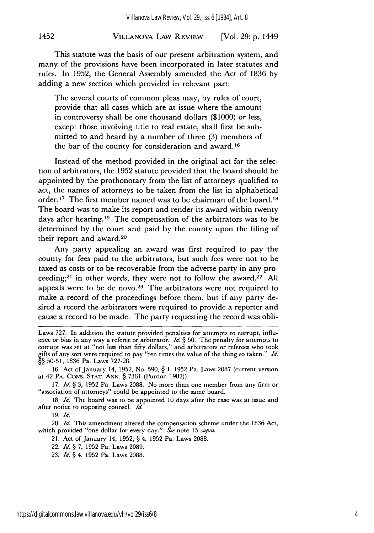#### VILLANOVA LAW REVIEW 1452 [Vol. **29: p.** 1449

This statute was the basis of our present arbitration system, and many of the provisions have been incorporated in later statutes and rules. In 1952, the General Assembly amended the Act of 1836 by adding a new section which provided in relevant part:

The several courts of common pleas may, by rules of court, provide that all cases which are at issue where the amount in controversy shall be one thousand dollars (\$1000) or less, except those involving title to real estate, shall first be submitted to and heard by a number of three (3) members of the bar of the county for consideration and award. **<sup>16</sup>**

Instead of the method provided in the original act for the selection of arbitrators, the 1952 statute provided that the board should be appointed by the prothonotary from the list of attorneys qualified to act, the names of attorneys to be taken from the list in alphabetical order.<sup>17</sup> The first member named was to be chairman of the board.<sup>18</sup> The board was to make its report and render its award within twenty days after hearing.<sup>19</sup> The compensation of the arbitrators was to be determined by the court and paid by the county upon the filing of their report and award.<sup>20</sup>

Any party appealing an award was first required to pay the county for fees paid to the arbitrators, but such fees were not to be taxed as costs or to be recoverable from the adverse party in any proceeding;<sup>21</sup> in other words, they were not to follow the award.<sup>22</sup> All appeals were to be de novo.<sup>23</sup> The arbitrators were not required to make a record of the proceedings before them, but if any party desired a record the arbitrators were required to provide a reporter and cause a record to be made. The party requesting the record was obli-

18. *Id.* The board was to be appointed 10 days after the case was at issue and after notice to opposing counsel. *Id.*

19. *Id.*

20. *Id.* This amendment altered the compensation scheme under the 1836 Act, which provided "one dollar for every day." *See* note 15 *supra.*

21. Act of January 14, 1952, § 4, 1952 Pa. Laws 2088.

Laws 727. In addition the statute provided penalties for attempts to corrupt, influence or bias in any way a referee or arbitrator. *Id.* § 50. The penalty for attempts to corrupt was set at "not less than fifty dollars," and arbitrators or referees who took gifts of any sort were required to pay "ten times the value of the thing so taken." *Id.* §§ 50-51, 1836 Pa. Laws 727-28.

<sup>16.</sup> Act of January 14, 1952, No. 590, § 1, 1952 Pa. Laws 2087 (current version at 42 PA. CONS. **STAT.** ANN. § 7361 (Purdon 1982)).

<sup>17.</sup> *Id.* § 3, 1952 Pa. Laws 2088. No more than one member from any firm or "association of attorneys" could be appointed to the same board.

<sup>22.</sup> *Id.* § 7, 1952 Pa. Laws 2089.

<sup>23.</sup> *Id.* § 4, 1952 Pa. Laws 2088.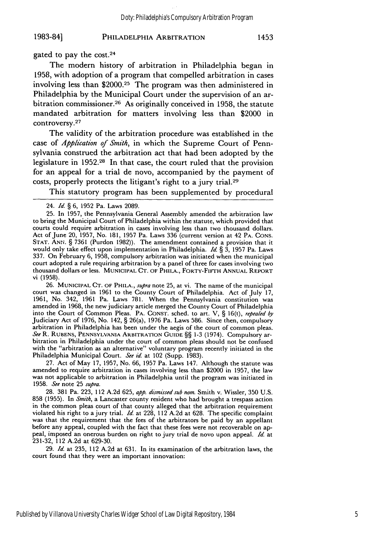gated to pay the cost. <sup>24</sup>

The modern history of arbitration in Philadelphia began in 1958, with adoption of a program that compelled arbitration in cases involving less than \$2000.25 The program was then administered in Philadelphia by the Municipal Court under the supervision of an arbitration commissioner.<sup>26</sup> As originally conceived in 1958, the statute mandated arbitration for matters involving less than \$2000 in controversy. 27

The validity of the arbitration procedure was established in the case of *Application of Smith,* in which the Supreme Court of Pennsylvania construed the arbitration act that had been adopted **by** the legislature in **1952.28** In that case, the court ruled that the provision for an appeal for a trial de novo, accompanied by the payment of costs, properly protects the litigant's right to a jury trial.<sup>29</sup>

This statutory program has been supplemented by procedural

26. **MUNICIPAL CT. OF** PHILA., *supra* note 25, at vi. The name of the municipal court was changed in 1961 to the County Court of Philadelphia. Act of July 17, 1961, No. 342, 1961 Pa. Laws 781. When the Pennsylvania constitution was amended in 1968, the new judiciary article merged the County Court of Philadelphia into the Court of Common Pleas. PA. **CONST.** sched. to art. V, § 16(t), *repealed by* Judiciary Act of 1976, No. 142, § 26(a), 1976 Pa. Laws 586. Since then, compulsory arbitration in Philadelphia has been under the aegis of the court of common pleas. *See* R. RUBENS, **PENNSYLVANIA** ARBITRATION GUIDE §§ 1-3 (1974). Compulsory arbitration in Philadelphia under the court of common pleas should not be confused with the "arbitration as an alternative" voluntary program recently initiated in the Philadelphia Municipal Court. *See id.* at 102 (Supp. 1983).

27. Act of May 17, 1957, No. **66,** 1957 Pa. Laws 147. Although the statute was amended to require arbitration in cases involving less than \$2000 in **1957,** the law was not applicable to arbitration in Philadelphia until the program was initiated in 1958. *See* note 25 *supra.*

28. 381 Pa. 223, 112 A.2d 625, *app. dzsmissed sub nora.* Smith v. Wissler, 350 U.S. 858 (1955). In *Smith,* a Lancaster county resident who had brought a trespass action in the common pleas court of that county alleged that the arbitration requirement violated his right to a jury trial. *Id.* at 228, 112 A.2d at 628. The specific complaint was that the requirement that the fees of the arbitrators be paid by an appellant before any appeal, coupled with the fact that these fees were not recoverable on appeal, imposed an onerous burden on right to jury trial de novo upon appeal. *Id.* at 231-32, 112 A.2d at 629-30.

29. *Id.* at 235, 112 A.2d at 631. In its examination of the arbitration laws, the court found that they were an important innovation:

<sup>24.</sup> *Id.* § 6, 1952 Pa. Laws 2089.

<sup>25.</sup> In 1957, the Pennsylvania General Assembly amended the arbitration law to bring the Municipal Court of Philadelphia within the statute, which provided that courts could require arbitration in cases involving less than two thousand dollars. Act of June 20, 1957, No. 181, 1957 Pa. Laws 336 (current version at 42 PA. **CONS. STAT.** ANN. § 7361 (Purdon 1982)). The amendment contained a provision that it would only take effect upon implementation in Philadelphia. *Id. §* 3, 1957 Pa. Laws 337. On February 6, 1958, compulsory arbitration was initiated when the municipal court adopted a rule requiring arbitration by a panel of three for cases involving two thousand dollars or less. **MUNICIPAL CT.** OF PHILA., FORTY-FIFTH **ANNUAL** REPORT vi (1958).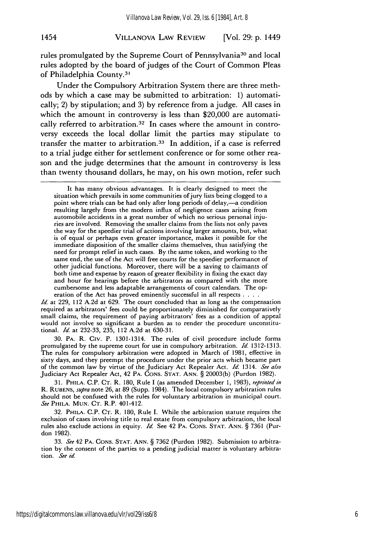#### VILLANOVA LAW REVIEW 1454 [Vol. **29: p.** 1449

rules promulgated by the Supreme Court of Pennsylvania<sup>30</sup> and local rules adopted by the board of judges of the Court of Common Pleas of Philadelphia County.3'

Under the Compulsory Arbitration System there are three methods by which a case may be submitted to arbitration: 1) automatically; 2) by stipulation; and 3) by reference from a judge. All cases in which the amount in controversy is less than \$20,000 are automatically referred to arbitration.<sup>32</sup> In cases where the amount in controversy exceeds the local dollar limit the parties may stipulate to transfer the matter to arbitration.<sup>33</sup> In addition, if a case is referred to a trial judge either for settlement conference or for some other reason and the judge determines that the amount in controversy is less than twenty thousand dollars, he may, on his own motion, refer such

It has many obvious advantages. It is clearly designed to meet the situation which prevails in some communities of jury lists being clogged to a point where trials can be had only after long periods of delay,-a condition resulting largely from the modern influx of negligence cases arising from automobile accidents in a great number of which no serious personal injuries are involved. Removing the smaller claims from the lists not only paves the way for the speedier trial of actions involving larger amounts, but, what is of equal or perhaps even greater importance, makes it possible for the immediate disposition of the smaller claims themselves, thus satisfying the need for prompt relief in such cases. By the same token, and working to the same end, the use of the Act will free courts for the speedier performance of other judicial functions. Moreover, there will be a saving to claimants of both time and expense by reason of greater flexibility in fixing the exact day and hour for hearings before the arbitrators as compared with the more cumbersome and less adaptable arrangements of court calendars. The operation of the Act has proved eminently successful in all respects **....**

*Id.* at 229, 112 A.2d at 629. The court concluded that as long as the compensation required as arbitrators' fees could be proportionately diminished for comparatively small claims, the requirement of paying arbitrators' fees as a condition of appeal would not involve so significant a burden as to render the procedure unconstitutional. *Id.* at 232-33, 235, 112 A.2d at 630-31.

30. PA. R. Civ. P. 1301-1314. The rules of civil procedure include forms promulgated by the supreme court for use in compulsory arbitration. *Id.* 1312-1313. The rules for compulsory arbitration were adopted in March of 1981, effective in sixty days, and they preempt the procedure under the prior acts which became part of the common law by virtue of the Judiciary Act Repealer Act. *Id.* 1314. *See* also Judiciary Act Repealer Act, 42 PA. CONS. **STAT.** ANN. § 20003(b) (Purdon 1982).

31. PHILA. C.P. CT. R. 180, Rule I (as amended December 1, 1983), *reprinted in* R. RUBENS, *supra* note 26, at 89 (Supp. 1984). The local compulsory arbitration rules should not be confused with the rules for voluntary arbitration in municipal court. *See* PHILA. **MUN.** CT. R.P. 401-412.

32. PHILA. C.P. CT. R. 180, Rule I. While the arbitration statute requires the exclusion of cases involving title to real estate from compulsory arbitration, the local rules also exclude actions in equity. *Id.* See 42 PA. **CONS. STAT. ANN.** § 7361 (Purdon 1982).

33. *See* 42 PA. **CONS. STAT. ANN.** § 7362 (Purdon 1982). Submission to arbitration by the consent of the parties to a pending judicial matter is voluntary arbitra*tion. See id.*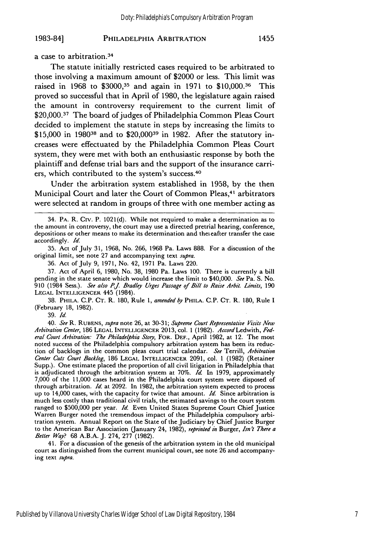a case to arbitration.<sup>34</sup>

The statute initially restricted cases required to be arbitrated to those involving a maximum amount of \$2000 or less. This limit was raised in 1968 to **\$30003 <sup>5</sup>**and again in 1971 to \$10,000.36 This proved so successful that in April of 1980, the legislature again raised the amount in controversy requirement to the current limit of \$20,000.<sup>37</sup> The board of judges of Philadelphia Common Pleas Court decided to implement the statute in steps by increasing the limits to \$15,000 in 198038 and to \$20,00039 in 1982. After the statutory increases were effectuated by the Philadelphia Common Pleas Court system, they were met with both an enthusiastic response by both the plaintiff and defense trial bars and the support of the insurance carriers, which contributed to the system's success.<sup>40</sup>

Under the arbitration system established in 1958, by the then Municipal Court and later the Court of Common Pleas,<sup>41</sup> arbitrators were selected at random in groups of three with one member acting as

35. Act of July 31, 1968, No. 266, 1968 Pa. Laws 888. For a discussion of the original limit, see note 27 and accompanying text *supra.*

36. Act of July 9, 1971, No. 42, 1971 Pa. Laws 220.

37. Act of April 6, 1980, No. 38, 1980 Pa. Laws 100. There is currently a bill pending in the state senate which would increase the limit to \$40,000. *See* Pa. S. No. 910 (1984 Sess.). *See also P.J. Bradley Urges Passage of Bill to Raise Arbit. Limits,* <sup>190</sup> **LEGAL** INTELLIGENCER 445 (1984).

38. PHILA. **C.P. CT.** R. 180, Rule *1, amended by* PHILA. **C.P. CT.** R. 180, Rule I (February **18,** 1982).

39. *Id.*

40. *See* R. **RUBENS,** *supra* note 26, at 30-31; *Supreme Court Representative Visits New Arbitration Center,* 186 **LEGAL INTELLIGENCER** 2013, col. 1 (1982). *Accord* Ledwith, *Fed*eral Court Arbitration: The Philadelphia Story, FOR. DEF., April 1982, at 12. The most noted success of the Philadelphia compulsory arbitration system has been its reduction of backlogs in the common pleas court trial calendar. *See* Terrill, *Arbitration Center Cuts Court Backlog,* 186 **LEGAL** INTELLIGENCER 2091, col. 1 (1982) (Retainer Supp.). One estimate placed the proportion of all civil litigation in Philadelphia that is adjudicated through the arbitration system at 70%. *Id.* In 1979, approximately 7,000 of the 11,000 cases heard in the Philadelphia court system were disposed of through arbitration. *Id.* at 2092. In 1982, the arbitration system expected to process up to 14,000 cases, with the capacity for twice that amount. *Id.* Since arbitration is much less costly than traditional civil trials, the estimated savings to the court system ranged to \$500,000 per year. *Id.* Even United States Supreme Court Chief Justice Warren Burger noted the tremendous impact of the Philadelphia compulsory arbitration system. Annual Report on the State of the Judiciary by Chief Justice Burger to the American Bar Association (January 24, 1982), *reprinted in* Burger, *Isn't There a Better Way?* 68 A.B.A. J. 274, 277 (1982).

41. For a discussion of the genesis of the arbitration system in the old municipal court as distinguished from the current municipal court, see note 26 and accompanying text *supra.*

<sup>34.</sup> PA. R. Civ. P. 1021(d). While not required to make a determination as to the amount in controversy, the court may use a directed pretrial hearing, conference, depositions or other means to make its determination and theicafter transfer the case accordingly. *Id.*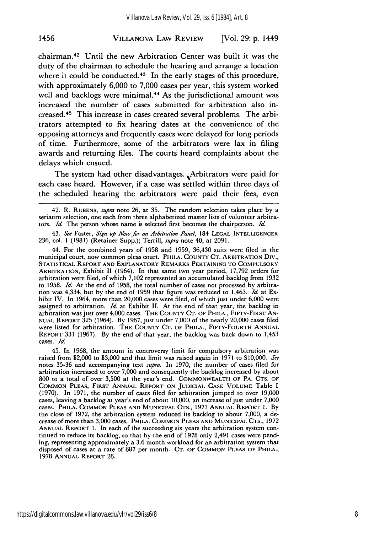#### VILLANOVA LAW REVIEW [Vol. 29: p. 1449 1456

chairman.42 Until the new Arbitration Center was built it was the duty of the chairman to schedule the hearing and arrange a location where it could be conducted. $43$  In the early stages of this procedure, with approximately 6,000 to 7,000 cases per year, this system worked well and backlogs were minimal.<sup>44</sup> As the jurisdictional amount was increased the number of cases submitted for arbitration also increased. 45 This increase in cases created several problems. The arbitrators attempted to fix hearing dates at the convenience of the opposing attorneys and frequently cases were delayed for long periods of time. Furthermore, some of the arbitrators were lax in filing awards and returning files. The courts heard complaints about the delays which ensued.

The system had other disadvantages. Arbitrators were paid for each case heard. However, if a case was settled within three days of the scheduled hearing the arbitrators were paid their fees, even

42. R. RUBENS, *supra* note 26, at 35. The random selection takes place by a seriatim selection, one each from three alphabetized master lists of volunteer arbitrators. *Id.* The person whose name is selected first becomes the chairperson. *Id.*

43. *See* Foster, *Sgn up Now for an Arbitration Panel,* 184 LEGAL INTELLIGENCER 236, col. 1 (1981) (Retainer Supp.); Terrill, *supra* note 40, at 2091.

44. For the combined years of 1958 and 1959, 36,430 suits were filed in the municipal court, now common pleas court. PHILA. COUNTY CT. ARBITRATION Div., STATISTICAL REPORT AND EXPLANATORY REMARKS PERTAINING TO COMPULSORY ARBITRATION, Exhibit II (1964). In that same two year period, 17,792 orders for arbitration were filed, of which 7,102 represented an accumulated backlog from 1932 to 1958. *Id.* At the end of 1958, the total number of cases not processed by arbitration was 4,334, but by the end of 1959 that figure was reduced to 1,463. *Id.* at Exhibit IV. In 1964, more than 20,000 cases were filed, of which just under 6,000 were assigned to arbitration. *Id* at Exhibit II. At the end of that year, the backlog in arbitration was just over 4,000 cases. THE COUNTY **CT.** OF PHILA., FIFTY-FIRST AN-**NUAL REIORT** 325 (1964). **By** 1967, just under 7,000 of the nearly 20,000 cases filed were listed for arbitration. THE **COUNTY CT.** OF PHILA., FIFTY-FOURTH **ANNUAL** REPORT **331** (1967). **By** the end of that year, the backlog was back down to 1,453 cases. *Id.*

45. In **1968,** the amount in controversy limit for compulsory arbitration was raised from \$2,000 to \$3,000 and that limit was raised again in 1971 to \$10,000. *See* notes 35-36 and accompanying text *supra.* In 1970, the number of cases filed for arbitration increased to over 7,000 and consequently the backlog increased by about 800 to a total of over 3,500 at the year's end. COMMONWEALTH OF PA. CTS. OF COMMON **PLEAS,** FIRST ANNUAL REPORT **ON** JUDICIAL **CASE VOLUME** Table I **(1970).** In **1971,** the number of cases filed for arbitration jumped to over **19,000** cases, leaving a backlog at year's end of about **10,000,** an increase of just under **7,000** cases. PHILA. **COMMON** PLEAS AND MUNICIPAL **CTS., 1971 ANNUAL REPORT 1. By** the close of **1972,** the arbitration system reduced its backlog to about **7,000,** a decrease of more than **3,000** cases. PHILA. **COMMON PLEAS AND MUNICIPAL CTS., 1972** ANNUAL REPORT **1.** In each of the succeeding six years the arbitration system continued to reduce its backlog, so that by the end of **1978** only 2,491 cases were pending, representing approximately a **3.6** month workload for an arbitration system that disposed of cases at a rate of **687** per month. **CT.** OF **COMMON PLEAS** OF PHILA., **1978 ANNUAL** REPORT **26.**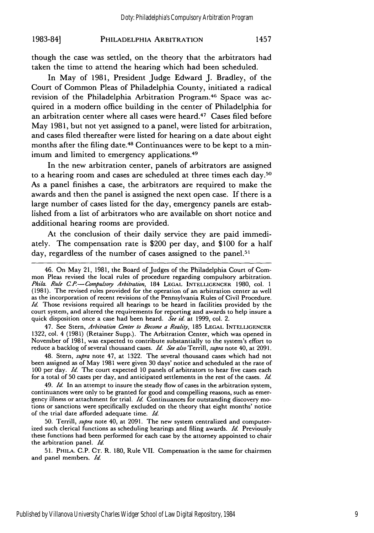though the case was settled, on the theory that the arbitrators had taken the time to attend the hearing which had been scheduled.

In May of 1981, President Judge Edward J. Bradley, of the Court of Common Pleas of Philadelphia County, initiated a radical revision of the Philadelphia Arbitration Program. 46 Space was acquired in a modern office building in the center of Philadelphia for an arbitration center where all cases were heard.47 Cases filed before May 1981, but not yet assigned to a panel, were listed for arbitration, and cases filed thereafter were listed for hearing on a date about eight months after the filing date.48 Continuances were to be kept to a minimum and limited to emergency applications.<sup>49</sup>

In the new arbitration center, panels of arbitrators are assigned to a hearing room and cases are scheduled at three times each day.50 As a panel finishes a case, the arbitrators are required to make the awards and then the panel is assigned the next open case. If there is a large number of cases listed for the day, emergency panels are established from a list of arbitrators who are available on short notice and additional hearing rooms are provided.

At the conclusion of their daily service they are paid immediately. The compensation rate is \$200 per day, and \$100 for a half day, regardless of the number of cases assigned to the panel.<sup>51</sup>

47. See Stern, *Arbitration Center to Become* a *Reah'ty,* 185 LEGAL **INTELLIGENCER** 1322, col. 4 (1981) (Retainer Supp.). The Arbitration Center, which was opened in November of 1981, was expected to contribute substantially to the system's effort to reduce a backlog of several thousand cases. *Id. See also* Terrill, *supra* note 40, at 2091.

48. Stern, *supra* note 47, at 1322. The several thousand cases which had not been assigned as of May 1981 were given 30 days' notice and scheduled at the rate of 100 per day. *Id*. The court expected 10 panels of arbitrators to hear five cases each for a total of 50 cases per day, and anticipated settlements in the rest of the cases. *Id.*

49. *Id.* In an attempt to insure the steady flow of cases in the arbitration system, continuances were only to be granted for good and compelling reasons, such as emergency illness or attachment for trial. *Id.* Continuances for outstanding discovery motions or sanctions were specifically excluded on the theory that eight months' notice of the trial date afforded adequate time. *Id.*

50. Terrill, *supra* note 40, at 2091. The new system centralized and computerized such clerical functions as scheduling hearings and filing awards. *Id.* Previously these functions had been performed for each case by the attorney appointed to chair the arbitration panel. *Id.*

51. PHILA. C.P. CT. R. 180, Rule VII. Compensation is the same for chairmen and panel members. *Id.*

<sup>46.</sup> On May 21, 1981, the Board of Judges of the Philadelphia Court of Common Pleas revised the local rules of procedure regarding compulsory arbitration. *Phila. Rule CP-Compulsog Arbitration,* 184 **LEGAL INTELLIGENCER** 1980, col. 1 (1981). The revised rules provided for the operation of an arbitration center as well as the incorporation of recent revisions of the Pennsylvania Rules of Civil Procedure. *Id.* Those revisions required all hearings to be heard in facilities provided by the court system, and altered the requirements for reporting and awards to help insure a quick disposition once a case had been heard. *See id.* at 1999, col. 2.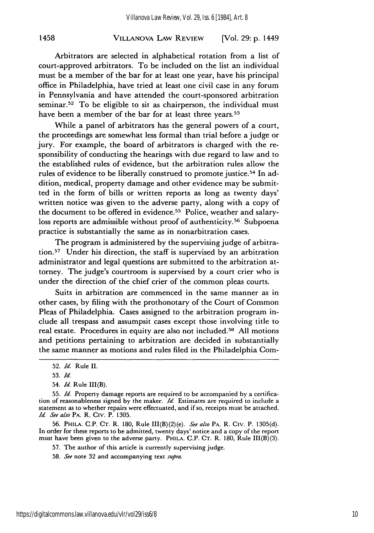#### VILLANOVA LAW REVIEW 1458 [Vol. **29:** *p.* 1449

Arbitrators are selected in alphabetical rotation from a list of court-approved arbitrators. To be included on the list an individual must be a member of the bar for at least one year, have his principal office in Philadelphia, have tried at least one civil case in any forum in Pennsylvania and have attended the court-sponsored arbitration seminar.<sup>52</sup> To be eligible to sit as chairperson, the individual must have been a member of the bar for at least three years.<sup>53</sup>

While a panel of arbitrators has the general powers of a court, the proceedings are somewhat less formal than trial before a judge or jury. For example, the board of arbitrators is charged with the responsibility of conducting the hearings with due regard to law and to the established rules of evidence, but the arbitration rules allow the rules of evidence to be liberally construed to promote justice.<sup>54</sup> In addition, medical, property damage and other evidence may be submitted in the form of bills or written reports as long as twenty days' written notice was given to the adverse party, along with a copy of the document to be offered in evidence.<sup>55</sup> Police, weather and salaryloss reports are admissible without proof of authenticity.<sup>56</sup> Subpoena practice is substantially the same as in nonarbitration cases.

The program is administered by the supervising judge of arbitration.57 Under his direction, the staff is supervised by an arbitration administrator and legal questions are submitted to the arbitration attorney. The judge's courtroom is supervised by a court crier who is under the direction of the chief crier of the common pleas courts.

Suits in arbitration are commenced in the same manner as in other cases, by filing with the prothonotary of the Court of Common Pleas of Philadelphia. Cases assigned to the arbitration program include all trespass and assumpsit cases except those involving title to real estate. Procedures in equity are also not included.<sup>58</sup> All motions and petitions pertaining to arbitration are decided in substantially the same manner as motions and rules filed in the Philadelphia Com-

54. *Id.* Rule III(B).

56. PHILA. C.P. CT. R. 180, Rule III(B)(2)(e). *See also* PA. R. Civ. P. 1305(d). In order for these reports to be admitted, twenty days' notice and a copy of the report must have been given to the adverse party. PHILA. C.P. CT. R. 180, Rule III(B)(3).

57. The author of this article is currently supervising judge.

58. *See* note 32 and accompanying text *supra.*

<sup>52.</sup> *Id* Rule II.

<sup>53.</sup> *Id.*

<sup>55.</sup> *Id.* Property damage reports are required to be accompanied by a certification of reasonableness signed by the maker. *Id.* Estimates are required to include a statement as to whether repairs were effectuated, and if so, receipts must be attached. *Id See also* PA. R. Civ. P. 1305.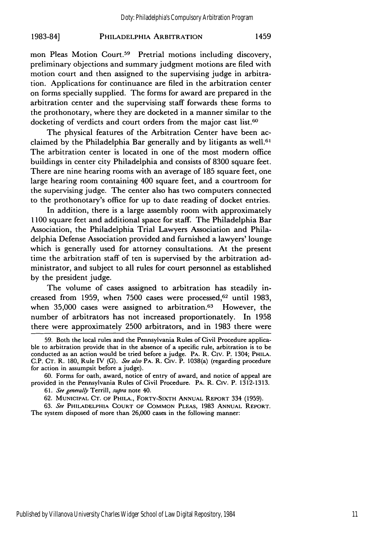mon Pleas Motion Court.<sup>59</sup> Pretrial motions including discovery, preliminary objections and summary judgment motions are filed with motion court and then assigned to the supervising judge in arbitration. Applications for continuance are filed in the arbitration center on forms specially supplied. The forms for award are prepared in the arbitration center and the supervising staff forwards these forms to the prothonotary, where they are docketed in a manner similar to the docketing of verdicts and court orders from the major cast list.<sup>60</sup>

The physical features of the Arbitration Center have been acclaimed by the Philadelphia Bar generally and by litigants as well.<sup>61</sup> The arbitration center is located in one of the most modern office buildings in center city Philadelphia and consists of 8300 square feet. There are nine hearing rooms with an average of 185 square feet, one large hearing room containing 400 square feet, and a courtroom for the supervising judge. The center also has two computers connected to the prothonotary's office for up to date reading of docket entries.

In addition, there is a large assembly room with approximately 1100 square feet and additional space for staff. The Philadelphia Bar Association, the Philadelphia Trial Lawyers Association and Philadelphia Defense Association provided and furnished a lawyers' lounge which is generally used for attorney consultations. At the present time the arbitration staff of ten is supervised by the arbitration administrator, and subject to all rules for court personnel as established by the president judge.

The volume of cases assigned to arbitration has steadily increased from 1959, when 7500 cases were processed, <sup>62</sup> until 1983, when 35,000 cases were assigned to arbitration.<sup>63</sup> However, the number of arbitrators has not increased proportionately. In 1958 there were approximately 2500 arbitrators, and in 1983 there were

60. Forms for oath, award, notice of entry of award, and notice of appeal are provided in the Pennsylvania Rules of Civil Procedure. PA. R. Civ. P. 1312-1313.

61. See generally Terrill, supra note 40.

62. **MUNICIPAL CT. OF** PHILA., FORTY-SIXTH **ANNUAL** REPORT 334 (1959).

63. See **PHILADELPHIA COURT** OF **COMMON PLEAS,** 1983 **ANNUAL REPORT.** The system disposed of more than 26,000 cases in the following manner:

<sup>59.</sup> Both the local rules and the Pennsylvania Rules of Civil Procedure applicable to arbitration provide that in the absence of a specific rule, arbitration is to be conducted as an action would be tried before a judge. PA. R. Civ. P. 1304; **PHIIA.** C.P. CT. R. 180, Rule IV (G). See also PA. R. Civ. P. 1038(a) (regarding procedure for action in assumpsit before a judge).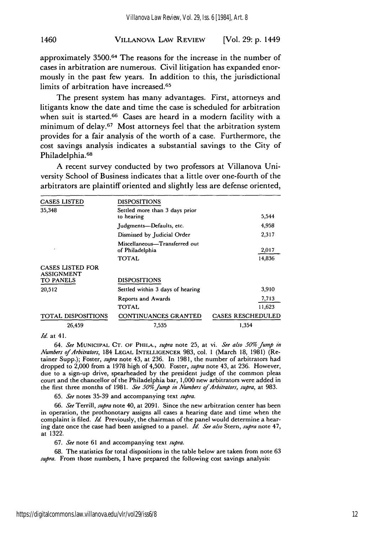#### 1460 VILLANOVA LAW REVIEW [Vol. **29: p.** 1449

approximately **3500.64** The reasons for the increase in the number of cases in arbitration are numerous. Civil litigation has expanded enormously in the past few years. In addition to this, the jurisdictional limits of arbitration have increased.<sup>65</sup>

The present system has many advantages. First, attorneys and litigants know the date and time the case is scheduled for arbitration when suit is started.<sup>66</sup> Cases are heard in a modern facility with a minimum of delay.<sup>67</sup> Most attorneys feel that the arbitration system provides for a fair analysis of the worth of a case. Furthermore, the cost savings analysis indicates a substantial savings to the City of Philadelphia.<sup>68</sup>

A recent survey conducted by two professors at Villanova University School of Business indicates that a little over one-fourth of the arbitrators are plaintiff oriented and slightly less are defense oriented,

| <b>CASES LISTED</b>                          | <b>DISPOSITIONS</b>                              |                          |  |
|----------------------------------------------|--------------------------------------------------|--------------------------|--|
| 35,348                                       | Settled more than 3 days prior<br>to hearing     | 5,544                    |  |
|                                              | Judgments-Defaults, etc.                         | 4,958                    |  |
|                                              | Dismissed by Judicial Order                      | 2,317                    |  |
|                                              | Miscellaneous-Transferred out<br>of Philadelphia | 2,017                    |  |
|                                              | TOTAL                                            | 14,836                   |  |
| <b>CASES LISTED FOR</b><br><b>ASSIGNMENT</b> |                                                  |                          |  |
| TO PANELS                                    | <b>DISPOSITIONS</b>                              |                          |  |
| 20,512                                       | Settled within 3 days of hearing                 | 3,910                    |  |
|                                              | <b>Reports and Awards</b>                        | 7,713                    |  |
|                                              | TOTAL                                            | 11,623                   |  |
| <b>TOTAL DISPOSITIONS</b>                    | CONTINUANCES GRANTED                             | <b>CASES RESCHEDULED</b> |  |
| 26,459                                       | 7.535                                            | 1.354                    |  |

*Id.* at **41.**

*64. See* MUNICIPAl. **CT.** OF PHILA., *supra* note 25, at vi. *See also 50%Jump in Numbers ofArbitrators,* 184 LEGAL INTELLIGENCER 983, col. 1 (March 18, 1981) (Retainer Supp.); Foster, *supra* note 43, at 236. In 1981, the number of arbitrators had dropped to 2,000 from a 1978 high of 4,500. Foster, *supra* note 43, at 236. However, due to a sign-up drive, spearheaded by the president judge of the common pleas court and the chancellor of the Philadelphia bar, 1,000 new arbitrators were added in the first three months of 1981. *See 50% Jump in Numbers of Arbitrators, supra*, at 983.

65. *See* notes 35-39 and accompanying text *supra.*

66. *See* Terrill, *supra* note 40, at 2091. Since the new arbitration center has been in operation, the prothonotary assigns all cases a hearing date and time when the complaint is filed. *Id*. Previously, the chairman of the panel would determine a hearing date once the case had been assigned to a panel. *I. See also* Stern, *supra* note 47, at 1322.

67. *See* note 61 and accompanying text *supra.*

68. The statistics for total dispositions in the table below are taken from note 63 *supra.* From those numbers, I have prepared the following cost savings analysis: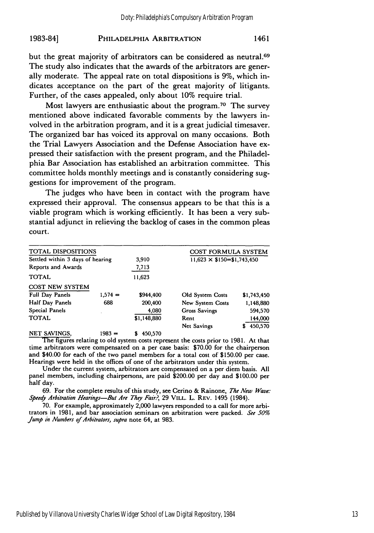but the great majority of arbitrators can be considered as neutral.<sup>69</sup> The study also indicates that the awards of the arbitrators are generally moderate. The appeal rate on total dispositions is **9%,** which indicates acceptance on the part of the great majority of litigants. Further, of the cases appealed, only about **10%** require trial.

Most lawyers are enthusiastic about the program.<sup>70</sup> The survey mentioned above indicated favorable comments **by** the lawyers involved in the arbitration program, and it is a great judicial timesaver. The organized bar has voiced its approval on many occasions. Both the Trial Lawyers Association and the Defense Association have expressed their satisfaction with the present program, and the Philadelphia Bar Association has established an arbitration committee. This committee holds monthly meetings and is constantly considering suggestions for improvement of the program.

The judges who have been in contact with the program have expressed their approval. The consensus appears to be that this is a viable program which is working efficiently. It has been a very substantial adjunct in relieving the backlog of cases in the common pleas court.

| TOTAL DISPOSITIONS               |           |             | COST FORMULA SYSTEM               |             |
|----------------------------------|-----------|-------------|-----------------------------------|-------------|
| Settled within 3 days of hearing |           | 3,910       | $11,623 \times$ \$150=\$1,743,450 |             |
| Reports and Awards               |           | 7,713       |                                   |             |
| <b>TOTAL</b>                     |           | 11,623      |                                   |             |
| <b>COST NEW SYSTEM</b>           |           |             |                                   |             |
| Full Day Panels                  | $1.574 =$ | \$944,400   | Old System Costs                  | \$1,743,450 |
| Half Day Panels                  | 688       | 200,400     | New System Costs                  | 1,148,880   |
| Special Panels                   |           | 4.080       | <b>Gross Savings</b>              | 594,570     |
| <b>TOTAL</b>                     |           | \$1,148,880 | Rent                              | 144,000     |
|                                  |           |             | Net Savings                       | 450,570     |
| <b>NET SAVINGS,</b>              | $1983 =$  | 450,570     |                                   |             |

The figures relating to old system costs represent the costs prior to **1981.** At that time arbitrators were compensated on a per case basis: **\$70.00** for the chairperson and \$40.00 for each of the two panel members for a total cost of \$150.00 per case. Hearings were **held** in the offices of one of the arbitrators under this system.

Under the current system, arbitrators are compensated on a per **diem** basis. **All** panel members, including chairpersons, are paid \$200.00 per day and **\$100.00** per half day.

69. For the complete results of this study, see Cerino & Rainone, *The New Wave.- Speedy Arbitration Hearings-But Are They Fair?,* 29 VILL. L. REV. 1495 (1984).

70. For example, approximately 2,000 lawyers responded to a call for more arbitrators in 1981, and bar association seminars on arbitration were packed. *See 50% Jump in Numbers of Arbitrators, supra* note 64, at 983.